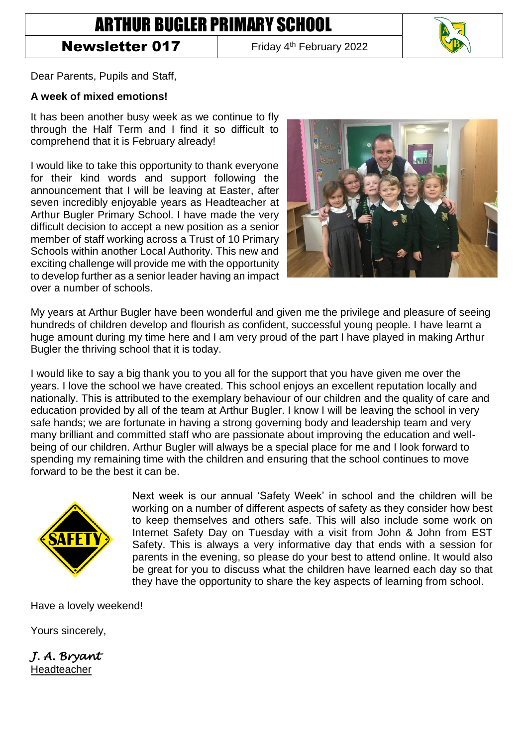## ARTHUR BUGLER PRIMARY SCHOOL

## Newsletter 017

Friday 4<sup>th</sup> February 2022



Dear Parents, Pupils and Staff,

## **A week of mixed emotions!**

It has been another busy week as we continue to fly through the Half Term and I find it so difficult to comprehend that it is February already!

I would like to take this opportunity to thank everyone for their kind words and support following the announcement that I will be leaving at Easter, after seven incredibly enjoyable years as Headteacher at Arthur Bugler Primary School. I have made the very difficult decision to accept a new position as a senior member of staff working across a Trust of 10 Primary Schools within another Local Authority. This new and exciting challenge will provide me with the opportunity to develop further as a senior leader having an impact over a number of schools.



My years at Arthur Bugler have been wonderful and given me the privilege and pleasure of seeing hundreds of children develop and flourish as confident, successful young people. I have learnt a huge amount during my time here and I am very proud of the part I have played in making Arthur Bugler the thriving school that it is today.

I would like to say a big thank you to you all for the support that you have given me over the years. I love the school we have created. This school enjoys an excellent reputation locally and nationally. This is attributed to the exemplary behaviour of our children and the quality of care and education provided by all of the team at Arthur Bugler. I know I will be leaving the school in very safe hands; we are fortunate in having a strong governing body and leadership team and very many brilliant and committed staff who are passionate about improving the education and wellbeing of our children. Arthur Bugler will always be a special place for me and I look forward to spending my remaining time with the children and ensuring that the school continues to move forward to be the best it can be.



Next week is our annual 'Safety Week' in school and the children will be working on a number of different aspects of safety as they consider how best to keep themselves and others safe. This will also include some work on Internet Safety Day on Tuesday with a visit from John & John from EST Safety. This is always a very informative day that ends with a session for parents in the evening, so please do your best to attend online. It would also be great for you to discuss what the children have learned each day so that they have the opportunity to share the key aspects of learning from school.

Have a lovely weekend!

Yours sincerely,

*J. A. Bryant*  Headteacher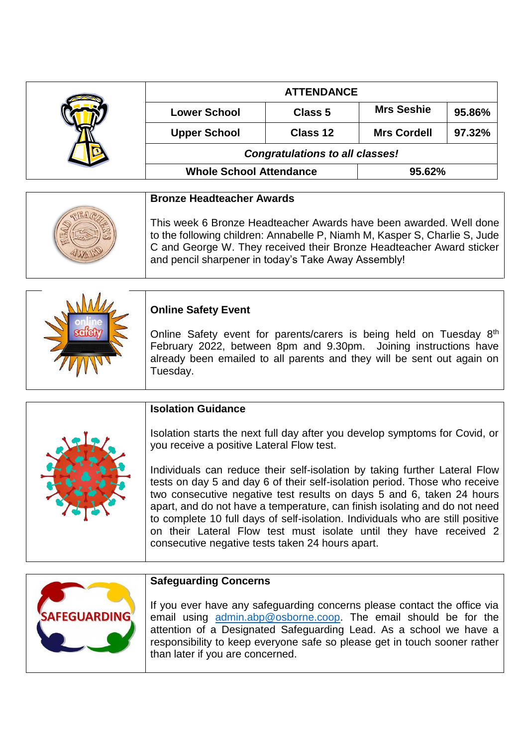|  | <b>ATTENDANCE</b>                      |                |                    |        |
|--|----------------------------------------|----------------|--------------------|--------|
|  | <b>Lower School</b>                    | <b>Class 5</b> | <b>Mrs Seshie</b>  | 95.86% |
|  | <b>Upper School</b>                    | Class 12       | <b>Mrs Cordell</b> | 97.32% |
|  | <b>Congratulations to all classes!</b> |                |                    |        |
|  | <b>Whole School Attendance</b>         |                | 95.62%             |        |

| <b>Bronze Headteacher Awards</b>                                                                                                                                                                                                                                                |
|---------------------------------------------------------------------------------------------------------------------------------------------------------------------------------------------------------------------------------------------------------------------------------|
| This week 6 Bronze Headteacher Awards have been awarded. Well done<br>to the following children: Annabelle P, Niamh M, Kasper S, Charlie S, Jude<br>C and George W. They received their Bronze Headteacher Award sticker<br>and pencil sharpener in today's Take Away Assembly! |

|  | <b>Online Safety Event</b>                                                                                                                                                                                                                |
|--|-------------------------------------------------------------------------------------------------------------------------------------------------------------------------------------------------------------------------------------------|
|  | Online Safety event for parents/carers is being held on Tuesday 8 <sup>th</sup><br>February 2022, between 8pm and 9.30pm. Joining instructions have<br>already been emailed to all parents and they will be sent out again on<br>Tuesday. |

|  | <b>Isolation Guidance</b>                                                                                                                                                                                                                                                                                                                                                                                                                                                                                                   |
|--|-----------------------------------------------------------------------------------------------------------------------------------------------------------------------------------------------------------------------------------------------------------------------------------------------------------------------------------------------------------------------------------------------------------------------------------------------------------------------------------------------------------------------------|
|  | Isolation starts the next full day after you develop symptoms for Covid, or<br>you receive a positive Lateral Flow test.                                                                                                                                                                                                                                                                                                                                                                                                    |
|  | Individuals can reduce their self-isolation by taking further Lateral Flow<br>tests on day 5 and day 6 of their self-isolation period. Those who receive<br>two consecutive negative test results on days 5 and 6, taken 24 hours<br>apart, and do not have a temperature, can finish isolating and do not need<br>to complete 10 full days of self-isolation. Individuals who are still positive<br>on their Lateral Flow test must isolate until they have received 2<br>consecutive negative tests taken 24 hours apart. |



## **Safeguarding Concerns**

If you ever have any safeguarding concerns please contact the office via email using [admin.abp@osborne.coop.](mailto:admin.abp@osborne.coop) The email should be for the attention of a Designated Safeguarding Lead. As a school we have a responsibility to keep everyone safe so please get in touch sooner rather than later if you are concerned.